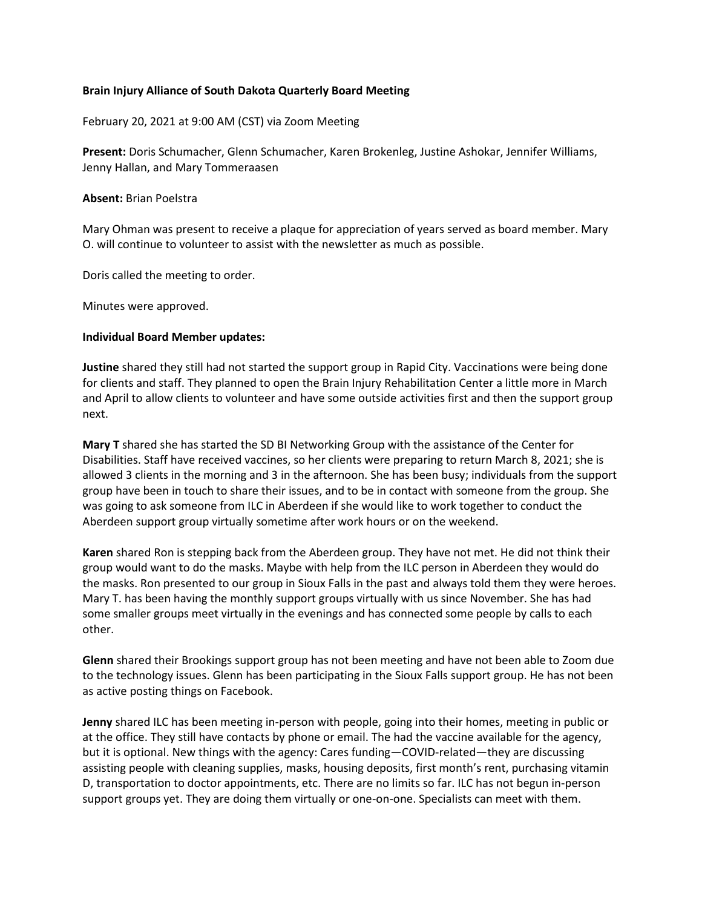## **Brain Injury Alliance of South Dakota Quarterly Board Meeting**

February 20, 2021 at 9:00 AM (CST) via Zoom Meeting

**Present:** Doris Schumacher, Glenn Schumacher, Karen Brokenleg, Justine Ashokar, Jennifer Williams, Jenny Hallan, and Mary Tommeraasen

#### **Absent:** Brian Poelstra

Mary Ohman was present to receive a plaque for appreciation of years served as board member. Mary O. will continue to volunteer to assist with the newsletter as much as possible.

Doris called the meeting to order.

Minutes were approved.

### **Individual Board Member updates:**

**Justine** shared they still had not started the support group in Rapid City. Vaccinations were being done for clients and staff. They planned to open the Brain Injury Rehabilitation Center a little more in March and April to allow clients to volunteer and have some outside activities first and then the support group next.

**Mary T** shared she has started the SD BI Networking Group with the assistance of the Center for Disabilities. Staff have received vaccines, so her clients were preparing to return March 8, 2021; she is allowed 3 clients in the morning and 3 in the afternoon. She has been busy; individuals from the support group have been in touch to share their issues, and to be in contact with someone from the group. She was going to ask someone from ILC in Aberdeen if she would like to work together to conduct the Aberdeen support group virtually sometime after work hours or on the weekend.

**Karen** shared Ron is stepping back from the Aberdeen group. They have not met. He did not think their group would want to do the masks. Maybe with help from the ILC person in Aberdeen they would do the masks. Ron presented to our group in Sioux Falls in the past and always told them they were heroes. Mary T. has been having the monthly support groups virtually with us since November. She has had some smaller groups meet virtually in the evenings and has connected some people by calls to each other.

**Glenn** shared their Brookings support group has not been meeting and have not been able to Zoom due to the technology issues. Glenn has been participating in the Sioux Falls support group. He has not been as active posting things on Facebook.

**Jenny** shared ILC has been meeting in-person with people, going into their homes, meeting in public or at the office. They still have contacts by phone or email. The had the vaccine available for the agency, but it is optional. New things with the agency: Cares funding—COVID-related—they are discussing assisting people with cleaning supplies, masks, housing deposits, first month's rent, purchasing vitamin D, transportation to doctor appointments, etc. There are no limits so far. ILC has not begun in-person support groups yet. They are doing them virtually or one-on-one. Specialists can meet with them.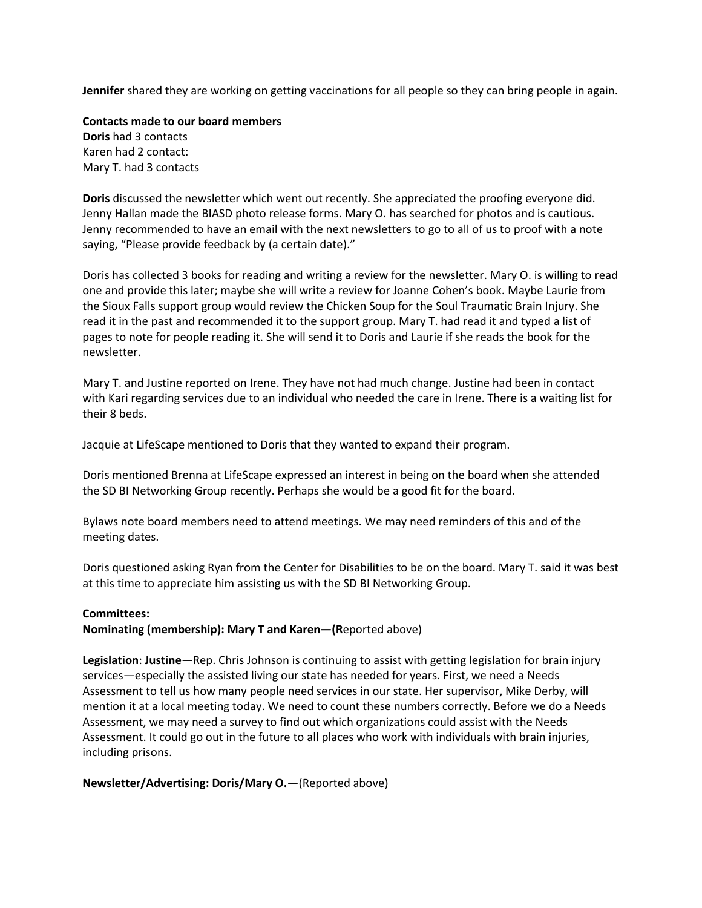**Jennifer** shared they are working on getting vaccinations for all people so they can bring people in again.

**Contacts made to our board members Doris** had 3 contacts Karen had 2 contact: Mary T. had 3 contacts

**Doris** discussed the newsletter which went out recently. She appreciated the proofing everyone did. Jenny Hallan made the BIASD photo release forms. Mary O. has searched for photos and is cautious. Jenny recommended to have an email with the next newsletters to go to all of us to proof with a note saying, "Please provide feedback by (a certain date)."

Doris has collected 3 books for reading and writing a review for the newsletter. Mary O. is willing to read one and provide this later; maybe she will write a review for Joanne Cohen's book. Maybe Laurie from the Sioux Falls support group would review the Chicken Soup for the Soul Traumatic Brain Injury. She read it in the past and recommended it to the support group. Mary T. had read it and typed a list of pages to note for people reading it. She will send it to Doris and Laurie if she reads the book for the newsletter.

Mary T. and Justine reported on Irene. They have not had much change. Justine had been in contact with Kari regarding services due to an individual who needed the care in Irene. There is a waiting list for their 8 beds.

Jacquie at LifeScape mentioned to Doris that they wanted to expand their program.

Doris mentioned Brenna at LifeScape expressed an interest in being on the board when she attended the SD BI Networking Group recently. Perhaps she would be a good fit for the board.

Bylaws note board members need to attend meetings. We may need reminders of this and of the meeting dates.

Doris questioned asking Ryan from the Center for Disabilities to be on the board. Mary T. said it was best at this time to appreciate him assisting us with the SD BI Networking Group.

### **Committees:**

**Nominating (membership): Mary T and Karen—(R**eported above)

**Legislation**: **Justine**—Rep. Chris Johnson is continuing to assist with getting legislation for brain injury services—especially the assisted living our state has needed for years. First, we need a Needs Assessment to tell us how many people need services in our state. Her supervisor, Mike Derby, will mention it at a local meeting today. We need to count these numbers correctly. Before we do a Needs Assessment, we may need a survey to find out which organizations could assist with the Needs Assessment. It could go out in the future to all places who work with individuals with brain injuries, including prisons.

# **Newsletter/Advertising: Doris/Mary O.**—(Reported above)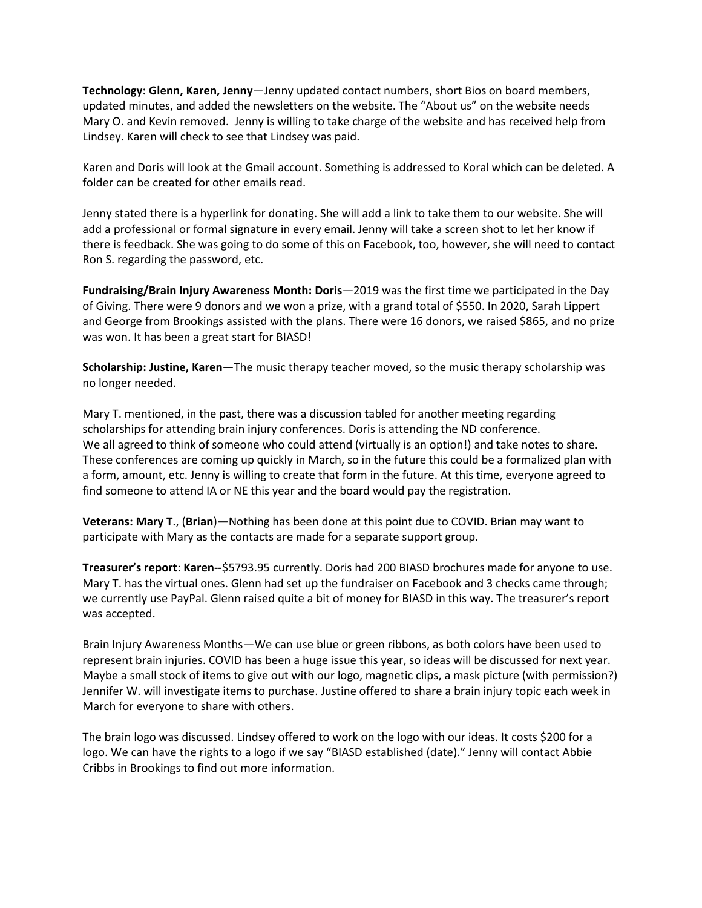**Technology: Glenn, Karen, Jenny**—Jenny updated contact numbers, short Bios on board members, updated minutes, and added the newsletters on the website. The "About us" on the website needs Mary O. and Kevin removed. Jenny is willing to take charge of the website and has received help from Lindsey. Karen will check to see that Lindsey was paid.

Karen and Doris will look at the Gmail account. Something is addressed to Koral which can be deleted. A folder can be created for other emails read.

Jenny stated there is a hyperlink for donating. She will add a link to take them to our website. She will add a professional or formal signature in every email. Jenny will take a screen shot to let her know if there is feedback. She was going to do some of this on Facebook, too, however, she will need to contact Ron S. regarding the password, etc.

**Fundraising/Brain Injury Awareness Month: Doris**—2019 was the first time we participated in the Day of Giving. There were 9 donors and we won a prize, with a grand total of \$550. In 2020, Sarah Lippert and George from Brookings assisted with the plans. There were 16 donors, we raised \$865, and no prize was won. It has been a great start for BIASD!

**Scholarship: Justine, Karen**—The music therapy teacher moved, so the music therapy scholarship was no longer needed.

Mary T. mentioned, in the past, there was a discussion tabled for another meeting regarding scholarships for attending brain injury conferences. Doris is attending the ND conference. We all agreed to think of someone who could attend (virtually is an option!) and take notes to share. These conferences are coming up quickly in March, so in the future this could be a formalized plan with a form, amount, etc. Jenny is willing to create that form in the future. At this time, everyone agreed to find someone to attend IA or NE this year and the board would pay the registration.

**Veterans: Mary T**., (**Brian**)**—**Nothing has been done at this point due to COVID. Brian may want to participate with Mary as the contacts are made for a separate support group.

**Treasurer's report**: **Karen--**\$5793.95 currently. Doris had 200 BIASD brochures made for anyone to use. Mary T. has the virtual ones. Glenn had set up the fundraiser on Facebook and 3 checks came through; we currently use PayPal. Glenn raised quite a bit of money for BIASD in this way. The treasurer's report was accepted.

Brain Injury Awareness Months—We can use blue or green ribbons, as both colors have been used to represent brain injuries. COVID has been a huge issue this year, so ideas will be discussed for next year. Maybe a small stock of items to give out with our logo, magnetic clips, a mask picture (with permission?) Jennifer W. will investigate items to purchase. Justine offered to share a brain injury topic each week in March for everyone to share with others.

The brain logo was discussed. Lindsey offered to work on the logo with our ideas. It costs \$200 for a logo. We can have the rights to a logo if we say "BIASD established (date)." Jenny will contact Abbie Cribbs in Brookings to find out more information.